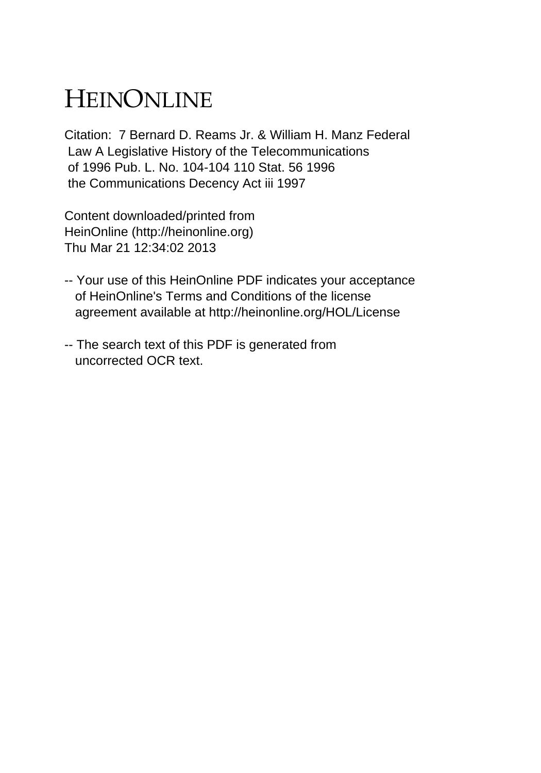## HEINONLINE

Citation: 7 Bernard D. Reams Jr. & William H. Manz Federal Law A Legislative History of the Telecommunications of 1996 Pub. L. No. 104-104 110 Stat. 56 1996 the Communications Decency Act iii 1997

Content downloaded/printed from HeinOnline (http://heinonline.org) Thu Mar 21 12:34:02 2013

- -- Your use of this HeinOnline PDF indicates your acceptance of HeinOnline's Terms and Conditions of the license agreement available at http://heinonline.org/HOL/License
- -- The search text of this PDF is generated from uncorrected OCR text.